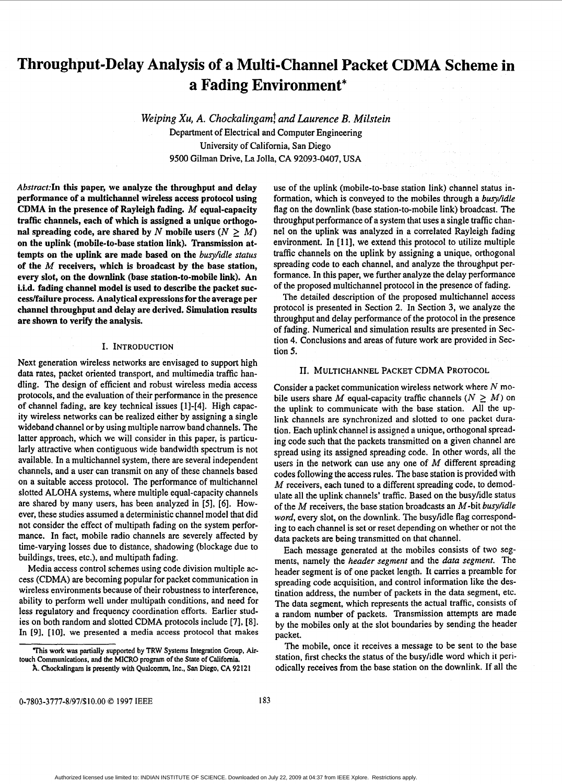# **Throughput-Delay Analysis of a Multi-Channel Packet CDMA Scheme in a Fading Environment\***

*Weiping Xu, A. Chockalingamt and Laurence B. Milstein*  Department of Electrical and Computer Engineering University of California, San Diego 9500 Gilman Drive. La Jolla, CA 92093-0407, USA

**Abstract:In this paper, we analyze the throughput and delay performance of a multichannel wireless access protocol using CDMA in the presence of Rayleigh fading.** *M* **equal-capacity traffic channels, each of which is assigned a unique orthogo**nal spreading code, are shared by N mobile users  $(N \geq M)$ **on the uplink (mobile-to-base station link). Transmission attempts on the uplink are made based on the** *busylidle status*  **of the** M **receivers, which** is **broadcast by the base station, every slot, on the downlink (base station-to-mobile link). An i.i.d. fading channel model is used to describe the packet succesdfailure process. Analytical expressions for the average per channel throughput and delay are derived. Simulation results are shown to verify the analysis.** 

# I. INTRODUCTION

Next generation wireless networks are envisaged to support high data rates, packet oriented transport, and multimedia traffic handling. The design of efficient and robust wireless media access protocols, and the evaluation of their performance in the presence of channel fading, are key technical issues [ **11-[4],** High capacity wireless networks can be realized either by assigning a single wideband channel or by using multiple narrow band channels. The latter approach, which we will consider in this paper, is particularly attractive when contiguous wide bandwidth spectrum is not available. In a multichannel system, there are several independent channels, and a user can transmit on any of these channels based on a suitable access protocol. The performance of multichannel slotted ALOHA systems, where multiple equal-capacity channels are shared by many users, has been analyzed in *[5], [6].* However, these studies assumed a deterministic channel model that did not consider the effect of multipath fading on the system performance. In fact, mobile radio channels are severely affected by time-varying losses due to distance, shadowing (blockage due to buildings, trees, etc.), and multipath fading.

Media access control schemes using code division multiple access (CDMA) are becoming popular for packet communication in wireless environments because of their robustness to interference, ability to perform well under multipath conditions, and need for less regulatory and frequency coordination efforts. Earlier studies on both random and slotted CDMA protocols include **[7], [8].**  In **[9],** [IO], we presented a media access protocol that makes use of the uplink (mobile-to-base station link) channel status information, which is conveyed to the mobiles through a *busylidle*  flag on the downlink (base station-to-mobile link) broadcast. The throughput performance of a system that uses a single traffic channel on the uplink was analyzed in a correlated Rayleigh fading environment. In [11], we extend this protocol to utilize multiple traffic channels on the uplink by assigning a unique, orthogonal spreading code to each channel, and analyze the throughput performance. In this paper, we further analyze the delay performance of the proposed multichannel protocol in the presence of fading.

The detailed description of the proposed multichannel access protocol is presented in Section **2.** In Section 3, we analyze the throughput and delay performance of the protocol in the presence of fading. Numerical and simulation results are presented in Section **4.** Conclusions and areas of future work are provided in Section *5.* 

# 11. MULTICHANNEL PACKET CDMA PROTOCOL

Consider a packet communication wireless network where *N* mobile users share M equal-capacity traffic channels ( $N \geq M$ ) on the uplink to communicate with the base station. All the uplink channels are synchronized and slotted to one packet duration. Each uplink channel is assigned a unique, orthogonal spreading code such that the packets transmitted on a given channel are spread using its assigned spreading code. In other words, all the users in the network can use any one of  $M$  different spreading codes following the access rules. The base station is provided with M receivers, each tuned to a different spreading code, to demodulate all the uplink channels' traffic. Based on the busylidle status of the M receivers, the base station broadcasts an M-bit *busylidle word,* every slot, on the downlink. The busy/idle flag corresponding to each channel is set or reset depending on whether or not the data packets are being transmitted on that channel.

Each message generated at the mobiles consists of two segments, namely the *header segment* and the *data segment.* The header segment is of one packet length. It carries a preamble for spreading code acquisition, and control information like the destination address, the number of packets in the data segment, etc. The data segment, which represents the actual traffic, consists of a random number of packets. Transmission attempts are made by the mobiles only at the slot boundaries by sending the header packet.

The mobile, once it receives a message to be sent to the base station, first checks the status of the busyhdle word which it periodically receives from the base station on the downlink. If all the

This **work** was partially suppotted by TRW Systems Integration Group, Airtouch Communications, **and** the MICRO program of the State of CaIifomia.

**A.** Chockdingm **is** presently with Qualcomm. Inc., **San** Diego, **CA 92121**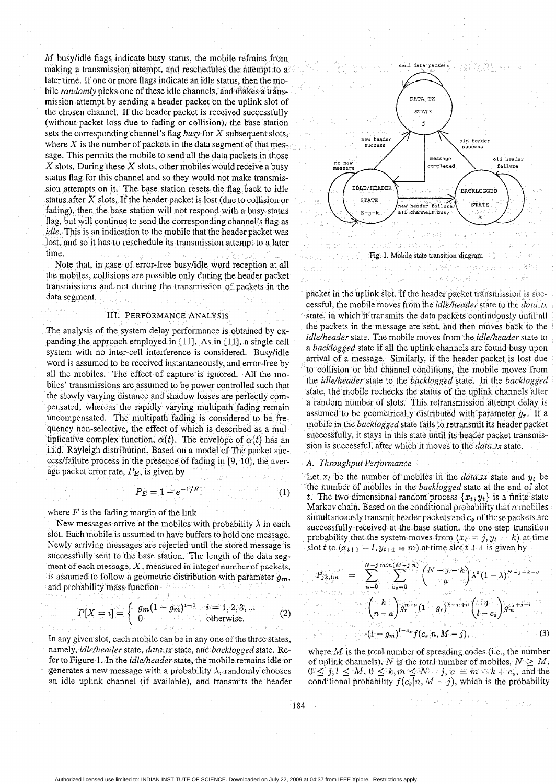*M* busy/idle flags indicate busy status, the mobile refrains from making a transmission attempt, and reschedules the attempt to a later time. If one or more flags indicate an idle status, then the mobile *randomly* picks one of these idle channels, and makes a transmission attempt by sending a header packet on the uplink slot of the chosen channel. If the header packet is received successfully (without packet loss due to fading or collision), the base station sets the corresponding channel's flag *busy* for X subsequent slots, where  $X$  is the number of packets in the data segment of that message. This permits the mobile to send all the data packets in those  $X$  slots. During these  $X$  slots, other mobiles would receive a busy status flag for this channel and so they would not make transmission attempts on it. The base station resets the flag back to idle status after  $X$  slots. If the header packet is lost (due to collision or fading), then the base station will not respond with a busy status flag, but will continue to send the corresponding channel's flag as idle. This is an indication to the mobile that the header packet was lost, and so it has to reschedule its transmission attempt to a later time.

Note that, in case of error-free busy/idle word reception at all the mobiles, collisions are possible only during the header packet transmissions and not during the transmission of packets in the data segment.

# III. PERFORMANCE ANALYSIS

The analysis of the system delay performance is obtained by expanding the approach employed in  $[11]$ . As in  $[11]$ , a single cell system with no inter-cell interference is considered. Busy/idle word is assumed to be received instantaneously, and error-free by all the mobiles. The effect of capture is ignored. All the mobiles' transmissions are assumed to be power controlled such that<br>the slowly varying distance and shadow losses are perfectly compensated, whereas the rapidly varying multipath fading remain uncompensated. The multipath fading is considered to be frequency non-selective, the effect of which is described as a multiplicative complex function,  $\alpha(t)$ . The envelope of  $\alpha(t)$  has an i.i.d. Rayleigh distribution. Based on a model of The packet success/failure process in the presence of fading in [9, 10], the average packet error rate,  $P_E$ , is given by

$$
P_E = 1 - e^{-1/F}
$$
 (1)

where *F* is the fading margin of the link.

New messages arrive at the mobiles with probability  $\lambda$  in each slot. Each mobile is assumed to have buffers to hold one message. Newly arriving messages are rejected until the stored message is successfully sent to the base station. The length of the data segment of each message,  $X$ , measured in integer number of packets, is assumed to follow a geometric distribution with parameter  $q_m$ , and probability mass function

$$
P[X = i] = \begin{cases} g_m(1 - g_m)^{i-1} & i = 1, 2, 3, \dots \\ 0 & \text{otherwise.} \end{cases} \tag{2}
$$

In any given slot, each mobile can be in any one of the three states, namely, *idle/header* state, data tx state, and backlogged state. Refer to Figure 1. In the *idle/header* state, the mobile remains idle or generates a new message with a probability  $\lambda$ , randomly chooses an idle uplink channel (if available), and transmits the header





packet in the uplink slot. If the header packet transmission is successful, the mobile moves from the *idle/header* state to the *data ix* state, in which it transmits the data packets continuously until all the packets in the message are sent, and then moves back to the idle/header state. The mobile moves from the *idle/header* state to a *backlogged* state if all the uplink channels are found busy upon arrival of a message. Similarly, if the header packet is lost due to collision or bad channel conditions, the mobile moves from the idle/header state to the backlogged state. In the backlogged state, the mobile rechecks the status of the uplink channels after a random number of slots. This retransmission attempt delay is assumed to be geometrically distributed with parameter  $g_r$ . If a mobile in the backlogged state fails to retransmit its header packet successfully, it stays in this state until its header packet transmission is successful, after which it moves to the *data\_tx* state.

#### A. Throughput Performance

Let  $x_t$  be the number of mobiles in the *data tx* state and  $y_t$  be the number of mobiles in the *backlogged* state at the end of slot *t*. The two dimensional random process  $\{x_t, y_t\}$  is a finite state Markov chain. Based on the conditional probability that  $n$  mobiles simultaneously transmit header packets and *c,* of those packets are successfully received at the base station, the one step transition probability that the system moves from  $(x_t = j, y_t = k)$  at time slot  $t_{\perp}$  to  $(x_{t+1} = l, y_{t+1} = m)$  at time slot  $t + 1$  is given by

$$
P_{jk,lm} = \sum_{n=0}^{N-j} \sum_{c_s=0}^{min(M-j,n)} \binom{N-j-k}{a} \lambda^a (1-\lambda)^{N-j-k-a}
$$

$$
\binom{k}{n-a} g_r^{n-a} (1-g_r)^{k-n+a} \binom{j}{l-c_s} g_m^{c_s+j-l}
$$

$$
(1-g_m)^{l-c_s} f(c_s | n, M-j), \qquad (3)
$$

where  $M$  is the total number of spreading codes (i.e., the number of uplink channels), N is the total number of mobiles,  $N \ge M$ ,<br> $0 \le j, l \le M$ ,  $0 \le k, m \le N - j$ ,  $a = m - k + c_s$ , and the conditional probability  $f(c_s | n, M - j)$ , which is the probability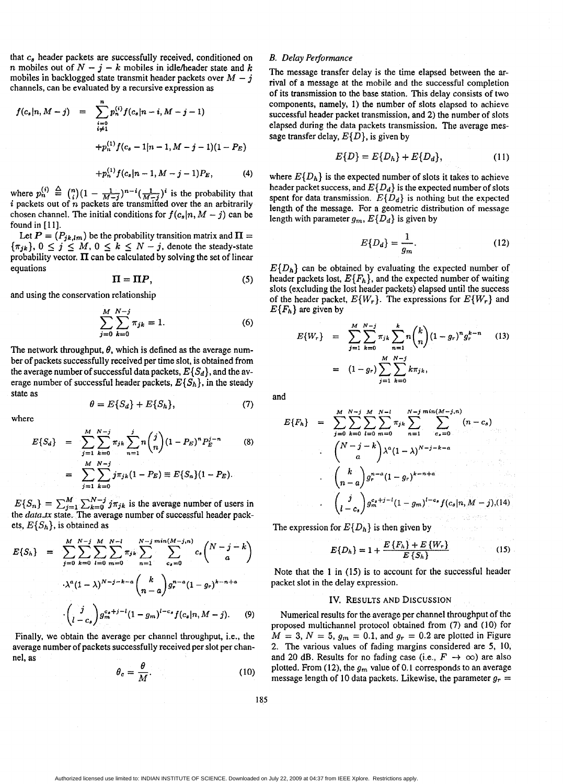that **c,** header packets are successfully received, conditioned on that  $c_s$  header packets are successfully received, conditioned on *n* mobiles out of  $N - j - k$  mobiles in idle/header state and *k m* mobiles out of  $N - j - k$  mobiles in idle/header state and *k* mobiles in backlogged state transmit header packets over  $M - j$ channels, can be evaluated by a recursive expression as

$$
f(c_s|n, M-j) = \sum_{\substack{i=0 \ i \neq 1}}^{n} p_n^{(i)} f(c_s|n-i, M-j-1)
$$
  
+
$$
p_n^{(1)} f(c_s - 1|n-1, M-j-1)(1-P_E)
$$
  
+
$$
p_n^{(1)} f(c_s|n-1, M-j-1)P_E,
$$
 (4)

where  $p_n^{(i)} \triangleq {n \choose i} (1 - \frac{1}{M-j})^{n-i} (\frac{1}{M-j})^i$  is the probability that *i* packets out of *n* packets are transmitted over the an arbitrarily *i* packets out of *n* packets are transmitted over the an arbitrarily chosen channel. The initial conditions for  $f(c_s|n, M - j)$  can be found in [11].

Let  $P = (P_{jk,lm})$  be the probability transition matrix and  $\Pi =$  $\{\pi_{jk}\}\ 0 \leq j \leq M, 0 \leq k \leq N-j$ , denote the steady-state probability vector.  $\Pi$  can be calculated by solving the set of linear equations

$$
\Pi = \Pi P, \tag{5}
$$

and using the conservation relationship

$$
\sum_{j=0}^{M} \sum_{k=0}^{N-j} \pi_{jk} = 1.
$$
 (6)

The network throughput,  $\theta$ , which is defined as the average number of packets successfully received per time slot, is obtained from the average number of successful data packets,  $E\{S_d\}$ , and the average number of successful header packets, *E{Sh},* in the steady state as

$$
\theta = E\{S_d\} + E\{S_h\},\tag{7}
$$

where

$$
E\{S_d\} = \sum_{j=1}^{M} \sum_{k=0}^{N-j} \pi_{jk} \sum_{n=1}^{j} n \binom{j}{n} (1 - P_E)^n P_E^{j-n}
$$
(8)  

$$
= \sum_{j=1}^{M} \sum_{k=0}^{N-j} j \pi_{jk} (1 - P_E) \equiv E\{S_n\} (1 - P_E).
$$

 $E\{S_n\} = \sum_{j=1}^{M} \sum_{k=0}^{N-j} j \pi_{jk}$  is the average number of users in the *data\_tx* state. The average number of successful header packets, *E{Sh},* is obtained as

$$
E\{S_h\} = \sum_{j=0}^{M} \sum_{k=0}^{N-j} \sum_{l=0}^{M} \sum_{m=0}^{N-l} \pi_{jk} \sum_{n=1}^{N-j} \sum_{c_s=0}^{\min(M-j,n)} c_s {N-j-k \choose a}
$$

$$
\cdot \lambda^a (1-\lambda)^{N-j-k-a} {k \choose n-a} g_r^{n-a} (1-g_r)^{k-n+a}
$$

$$
\cdot {j \choose l-c_s} g_m^{c_s+j-l} (1-g_m)^{l-c_s} f(c_s | n, M-j). \qquad (9)
$$

Finally, we obtain the average per channel throughput, i.e., the average number of packets successfully received per slot per chan-<br>nel, as<br> $\theta_c = \frac{\theta}{M}$ . (10) nel. as

$$
\theta_c = \frac{\theta}{M}.\tag{10}
$$

#### *B. Delay Perfomnee*

The message transfer delay is the time elapsed between the arrival of a message at the mobile and the successful completion of its transmission to the base station. This delay consists of two components, namely, 1) the number of slots elapsed to achieve successful header packet transmission, and **2)** the number of slots elapsed during the data packets transmission. The average message transfer delay, *E{D},* is given by

$$
E\{D\} = E\{D_h\} + E\{D_d\},\tag{11}
$$

where  $E\{D_h\}$  is the expected number of slots it takes to achieve header packet success, and  $E\{D_d\}$  is the expected number of slots spent for data transmission.  $E\{D_d\}$  is nothing but the expected length of the message. For a geometric distribution of message length with parameter  $g_m$ ,  $E\{\mathcal{D}_d\}$  is given by

$$
E\{D_d\} = \frac{1}{g_m}.\tag{12}
$$

 $E\{D_h\}$  can be obtained by evaluating the expected number of header packets lost,  $E\{F_h\}$ , and the expected number of waiting slots (excluding the lost header packets) elapsed until the success of the header packet,  $E\{W_r\}$ . The expressions for  $E\{W_r\}$  and *E{Fh}* are given by

$$
E\{W_r\} = \sum_{j=1}^{M} \sum_{k=0}^{N-j} \pi_{jk} \sum_{n=1}^{k} n \binom{k}{n} (1 - g_r)^n g_r^{k-n}
$$
 (13)  

$$
= (1 - g_r) \sum_{j=1}^{M} \sum_{k=0}^{N-j} k \pi_{jk},
$$

and

$$
E\{F_h\} = \sum_{j=0}^{M} \sum_{k=0}^{N-j} \sum_{l=0}^{M} \sum_{m=0}^{N-l} \pi_{jk} \sum_{n=1}^{N-j} \sum_{c_s=0}^{min(M-j,n)} (n-c_s)
$$

$$
\binom{N-j-k}{a} \lambda^a (1-\lambda)^{N-j-k-a}
$$

$$
\binom{k}{n-a} g_r^{n-a} (1-g_r)^{k-n+a}
$$

$$
\binom{j}{l-c_s} g_m^{c_s+j-l} (1-g_m)^{l-c_s} f(c_s | n, M-j), (14)
$$

The expression for  $E\{D_h\}$  is then given by

$$
E\{D_h\} = 1 + \frac{E\{F_h\} + E\{W_r\}}{E\{S_h\}}
$$
 (15)

Note that the 1 in **(15)** is to account for the successful header packet slot in the delay expression.

#### Iv. **RESULTS AND DISCUSSION**

Numerical results for the average per channel throughput of the proposed multichannel protocol obtained from **(7)** and (10) for  $M = 3$ ,  $N = 5$ ,  $g_m = 0.1$ , and  $g_r = 0.2$  are plotted in Figure 2. The various values of fading margins considered are *5,* **10,**  and 20 dB. Results for no fading case (i.e.,  $F \rightarrow \infty$ ) are also plotted. From  $(12)$ , the  $g_m$  value of 0.1 corresponds to an average message length of 10 data packets. Likewise, the parameter  $g_r =$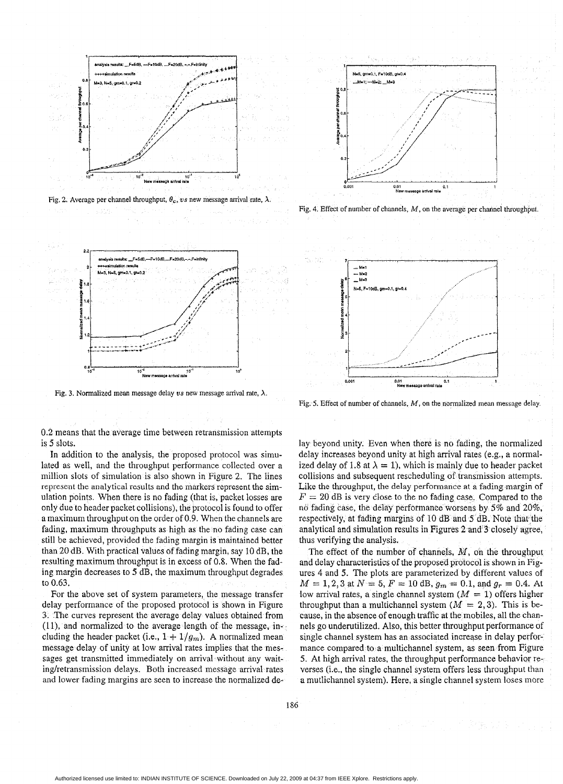

Fig. 2. Average per channel throughput,  $\theta_c$ , *vs* new message arrival rate,  $\lambda$ .



Fig. **3.** Normalized mean message delay *us* new message arrival rate, **A.** 

0.2 means that the average time between retransmission attempts is *5* slots.

In addition to the analysis, the proposed protocol was simulated as well, and the throughput performance collected over a million slots of simulation is also shown in Figure 2. The lines represent the analytical results and the markers represent the simulation points. When there is no fading (that is, packet losses are only due to header packet collisions), the protocol is found to offer a maximum throughput on the order of 0.9. When the channels are fading, maximum throughputs as high as the no fading case can still be achieved, provided the fading margin is maintained better than 20 dB. With practical values of fading margin, say 10 dB, the resulting maximum throughput is in excess of 0.8. When the fading margin decreases to *5* dB, the maximum throughput degrades to 0.63.

For the above set of system parameters, the message transfer delay performance of the proposed protocol is shown in Figure **3.** The curves represent the average delay values obtained from (11), and normalized to the average length of the message, including the header packet (i.e.,  $1 + 1/g_m$ ). A normalized mean message delay of unity at low arrival rates implies that the messages get transmitted immediately on arrival without any waiting/retransmission delays. Both increased message arrival rates and lower fading margins are seen to increase the normalized de-



Fig. 4. Effect of number of channels, M, on the average per channel throughput.



Fig. 5. Effect of number of channels, *M,* on the normalized mean message delay

lay beyond unity. Even when there is no fading, the normalized delay increases beyond unity at high arrival rates (e.g., a normalized delay of 1.8 at  $\lambda = 1$ ), which is mainly due to header packet collisions and subsequent rescheduling of transmission attempts. **Like** the throughput, the delay performance at a fading margin of  $F = 20$  dB is very close to the no fading case. Compared to the no fading case, the delay performance worsens by 5% and 20%, respectively, at fading margins of 10 dB and 5 dB. Note that the analytical and simulation results in Figures 2 and 3 closely agree, thus verifying the analysis.

The effect of the number of channels,  $M$ , on the throughput and delay characteristics of the proposed protocol is shown in Figures **4** and *5.* The plots are parameterized by different values of  $M = 1, 2, 3$  at  $N = 5, F = 10$  dB,  $g_m = 0.1$ , and  $g_r = 0.4$ . At low arrival rates, a single channel system  $(M = 1)$  offers higher throughput than a multichannel system  $(M = 2, 3)$ . This is because, in the absence of enough traffic at the mobiles, all the channels go underutilized. Also, this better throughput performance of single channel system has an associated increase in delay performance compared to a multichannel system, as seen from Figure *5.* At high arrival rates, the throughput performance behavior reverses (i.e., the single channel system offers less throughput than a mutlichannel system). Here, a single channel system loses more